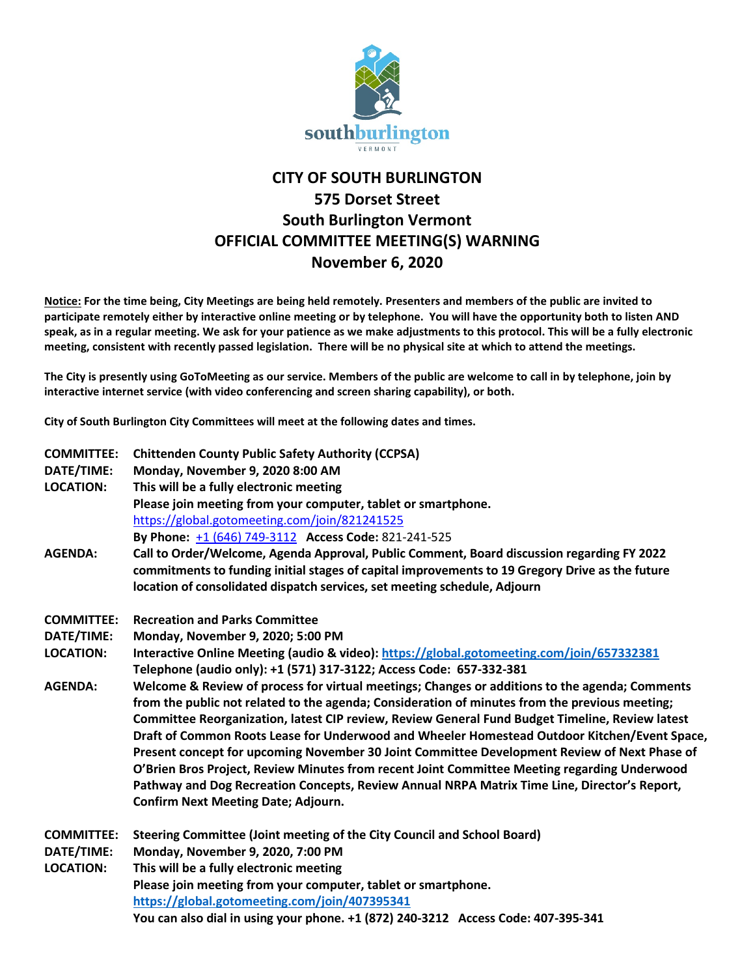

## **CITY OF SOUTH BURLINGTON 575 Dorset Street South Burlington Vermont OFFICIAL COMMITTEE MEETING(S) WARNING November 6, 2020**

**Notice: For the time being, City Meetings are being held remotely. Presenters and members of the public are invited to participate remotely either by interactive online meeting or by telephone. You will have the opportunity both to listen AND speak, as in a regular meeting. We ask for your patience as we make adjustments to this protocol. This will be a fully electronic meeting, consistent with recently passed legislation. There will be no physical site at which to attend the meetings.** 

**The City is presently using GoToMeeting as our service. Members of the public are welcome to call in by telephone, join by interactive internet service (with video conferencing and screen sharing capability), or both.**

**City of South Burlington City Committees will meet at the following dates and times.** 

| <b>COMMITTEE:</b><br>DATE/TIME:<br><b>LOCATION:</b> | <b>Chittenden County Public Safety Authority (CCPSA)</b><br>Monday, November 9, 2020 8:00 AM<br>This will be a fully electronic meeting<br>Please join meeting from your computer, tablet or smartphone.                                                                                                                                                                                                                                                                                                                                                                                                                                                                                                                                          |
|-----------------------------------------------------|---------------------------------------------------------------------------------------------------------------------------------------------------------------------------------------------------------------------------------------------------------------------------------------------------------------------------------------------------------------------------------------------------------------------------------------------------------------------------------------------------------------------------------------------------------------------------------------------------------------------------------------------------------------------------------------------------------------------------------------------------|
| <b>AGENDA:</b>                                      | https://global.gotomeeting.com/join/821241525<br>By Phone: +1 (646) 749-3112 Access Code: 821-241-525<br>Call to Order/Welcome, Agenda Approval, Public Comment, Board discussion regarding FY 2022<br>commitments to funding initial stages of capital improvements to 19 Gregory Drive as the future<br>location of consolidated dispatch services, set meeting schedule, Adjourn                                                                                                                                                                                                                                                                                                                                                               |
| <b>COMMITTEE:</b>                                   | <b>Recreation and Parks Committee</b>                                                                                                                                                                                                                                                                                                                                                                                                                                                                                                                                                                                                                                                                                                             |
| DATE/TIME:                                          | Monday, November 9, 2020; 5:00 PM                                                                                                                                                                                                                                                                                                                                                                                                                                                                                                                                                                                                                                                                                                                 |
| <b>LOCATION:</b>                                    | Interactive Online Meeting (audio & video): https://global.gotomeeting.com/join/657332381<br>Telephone (audio only): +1 (571) 317-3122; Access Code: 657-332-381                                                                                                                                                                                                                                                                                                                                                                                                                                                                                                                                                                                  |
| <b>AGENDA:</b>                                      | Welcome & Review of process for virtual meetings; Changes or additions to the agenda; Comments<br>from the public not related to the agenda; Consideration of minutes from the previous meeting;<br>Committee Reorganization, latest CIP review, Review General Fund Budget Timeline, Review latest<br>Draft of Common Roots Lease for Underwood and Wheeler Homestead Outdoor Kitchen/Event Space,<br>Present concept for upcoming November 30 Joint Committee Development Review of Next Phase of<br>O'Brien Bros Project, Review Minutes from recent Joint Committee Meeting regarding Underwood<br>Pathway and Dog Recreation Concepts, Review Annual NRPA Matrix Time Line, Director's Report,<br><b>Confirm Next Meeting Date; Adjourn.</b> |
| <b>COMMITTEE:</b><br>DATE/TIME:                     | Steering Committee (Joint meeting of the City Council and School Board)<br>Monday, November 9, 2020, 7:00 PM                                                                                                                                                                                                                                                                                                                                                                                                                                                                                                                                                                                                                                      |
| <b>LOCATION:</b>                                    | This will be a fully electronic meeting                                                                                                                                                                                                                                                                                                                                                                                                                                                                                                                                                                                                                                                                                                           |
|                                                     | Please join meeting from your computer, tablet or smartphone.                                                                                                                                                                                                                                                                                                                                                                                                                                                                                                                                                                                                                                                                                     |
|                                                     | https://global.gotomeeting.com/join/407395341                                                                                                                                                                                                                                                                                                                                                                                                                                                                                                                                                                                                                                                                                                     |
|                                                     | You can also dial in using your phone. +1 (872) 240-3212 Access Code: 407-395-341                                                                                                                                                                                                                                                                                                                                                                                                                                                                                                                                                                                                                                                                 |